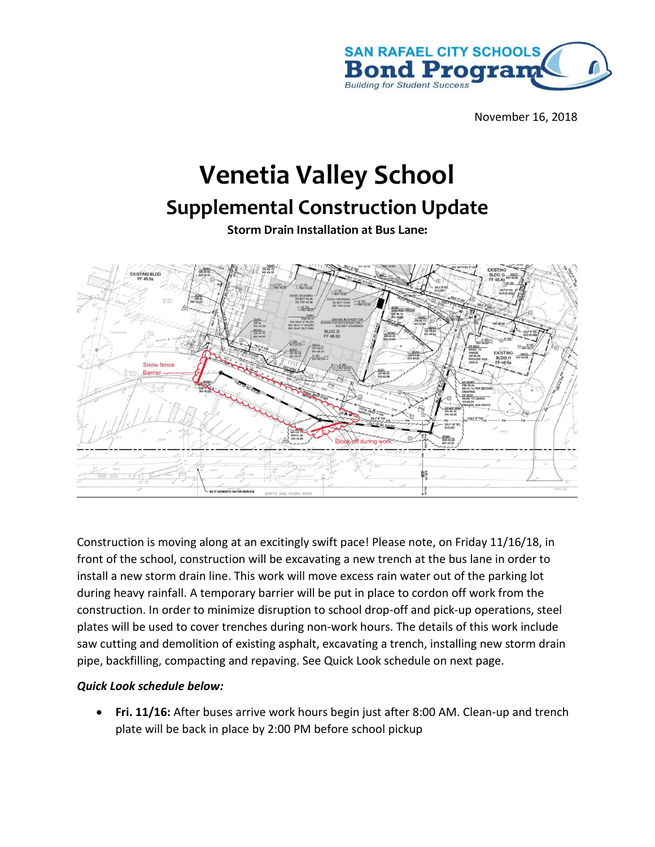

November 16, 2018

## **Venetia Valley School**

## **Supplemental Construction Update**

**Storm Drain Installation at Bus Lane:**



Construction is moving along at an excitingly swift pace! Please note, on Friday 11/16/18, in front of the school, construction will be excavating a new trench at the bus lane in order to install a new storm drain line. This work will move excess rain water out of the parking lot during heavy rainfall. A temporary barrier will be put in place to cordon off work from the construction. In order to minimize disruption to school drop-off and pick-up operations, steel plates will be used to cover trenches during non-work hours. The details of this work include saw cutting and demolition of existing asphalt, excavating a trench, installing new storm drain pipe, backfilling, compacting and repaving. See Quick Look schedule on next page.

## *Quick Look schedule below:*

• **Fri. 11/16:** After buses arrive work hours begin just after 8:00 AM. Clean-up and trench plate will be back in place by 2:00 PM before school pickup